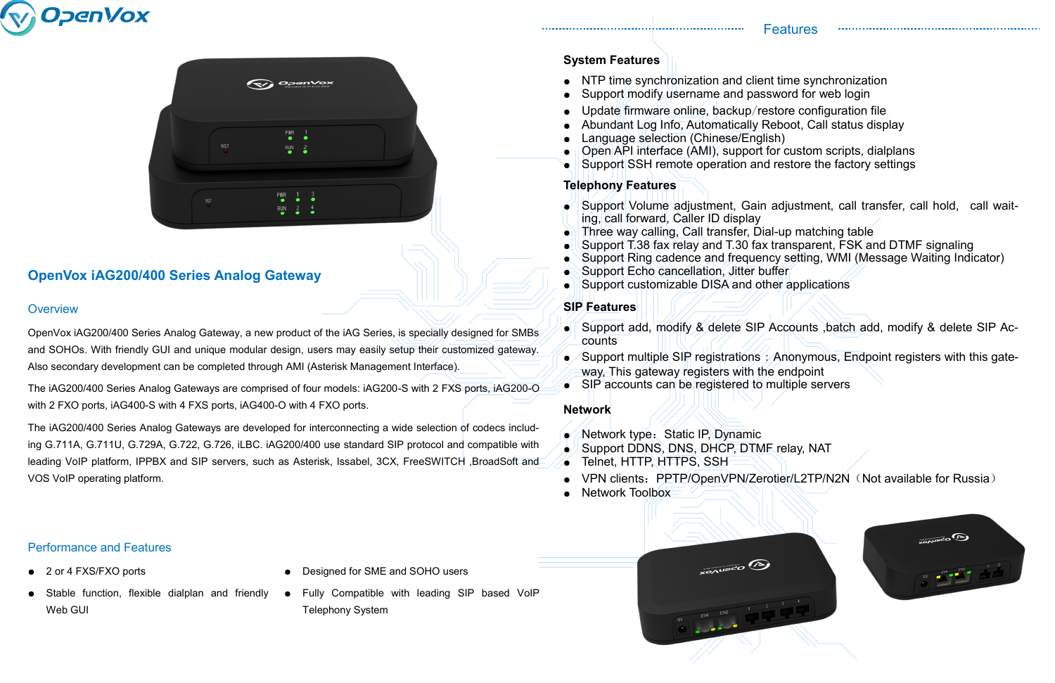# **OpenVox iAG200/400 Series Analog Gateway**

## **Overview**

## Performance and Features

OpenVox iAG200/400 Series Analog Gateway, a new product of the iAG Series, is specially designed for SMBs and SOHOs. With friendly GUI and unique modular design, users may easily setup their customized gateway. Also secondary development can be completed through AMI (Asterisk Management Interface).

The iAG200/400 Series Analog Gateways are comprised of four models: iAG200-S with 2 FXS ports, iAG200-O with 2 FXO ports, iAG400-S with 4 FXS ports, iAG400-O with 4 FXO ports.

The iAG200/400 Series Analog Gateways are developed for interconnecting a wide selection of codecs including G.711A, G.711U, G.729A, G.722, G.726, iLBC. iAG200/400 use standard SIP protocol and compatible with leading VoIP platform, IPPBX and SIP servers, such as Asterisk, Issabel, 3CX, FreeSWITCH ,BroadSoft and VOS VoIP operating platform.

- counts
- way, This gateway registers with the endpoint
- $\bullet$  SIP accounts can be registered to multiple servers





#### **System Features**

- NTP time synchronization and client time synchronization
- Support modify username and password for web login
- Update firmware online, backup/restore configuration file
- Abundant Log Info, Automatically Reboot, Call status display
- Language selection (Chinese/English)
- **II Open API interface (AMI), support for custom scripts, dialplans**
- Support SSH remote operation and restore the factory settings

- Network type:Static IP, Dynamic
- Support DDNS, DNS, DHCP, DTMF relay, NAT
- Telnet, HTTP, HTTPS, SSH
- 

**XONUDCO** 

ETHI ETHIZ  $1$   $2$   $3$ 

**Network Toolbox** 



- 2 or 4 FXS/FXO ports
- Stable function, flexible dialplan and friendly Web GUI
- Designed for SME and SOHO users
- Fully Compatible with leading SIP based VoIP Telephony System

## **Telephony Features**

● Support Volume adjustment, Gain adjustment, call transfer, call hold, call wait-

Support Ring cadence and frequency setting, WMI (Message Waiting Indicator)

- ing, call forward, Caller ID display
- $\parallel$  Three way calling, Call transfer, Dial-up matching table
- Support T.38 fax relay and T.30 fax transparent, FSK and DTMF signaling
- 
- Support Echo cancellation, Jitter buffer
- Support customizable DISA and other applications

### **SIP Features**

● Support add, modify & delete SIP Accounts ,batch add, modify & delete SIP Ac-

● Support multiple SIP registrations : Anonymous, Endpoint registers with this gate-

• VPN clients: PPTP/OpenVPN/Zerotier/L2TP/N2N (Not available for Russia)



#### **Network**